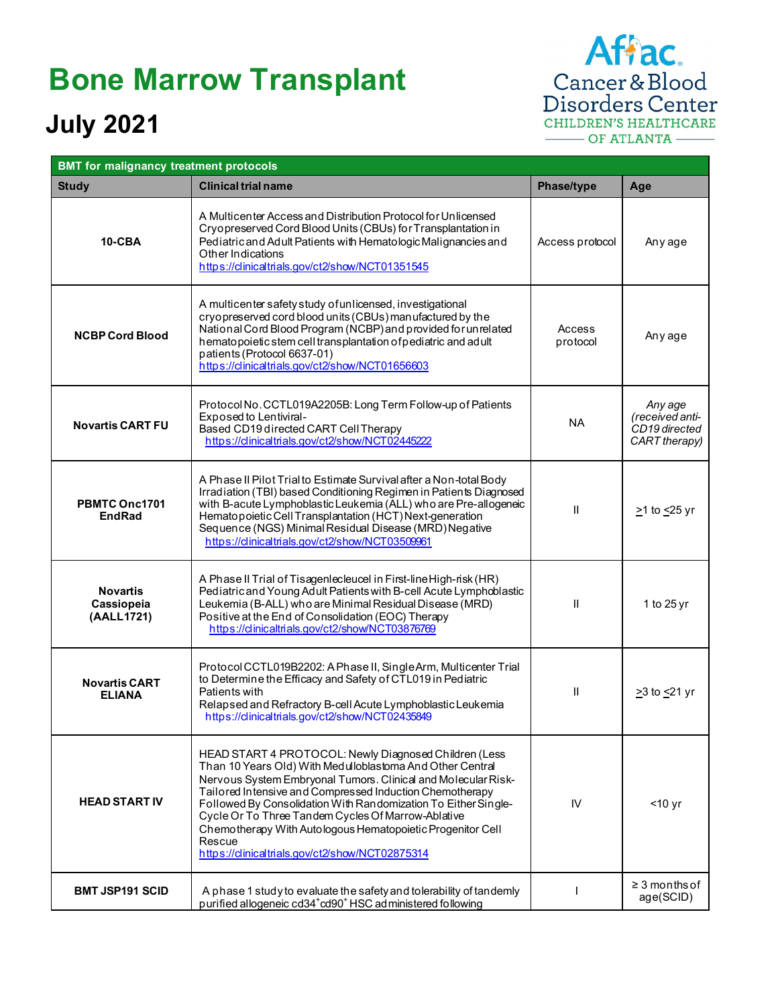## **Bone Marrow Transplant**

## **July 2021**

Affac. Cancer & Blood<br>Disorders Center CHILDREN'S HEALTHCARE OF ATLANTA

| <b>BMT for malignancy treatment protocols</b> |                                                                                                                                                                                                                                                                                                                                                                                                                                                                                                    |                    |                                                              |  |
|-----------------------------------------------|----------------------------------------------------------------------------------------------------------------------------------------------------------------------------------------------------------------------------------------------------------------------------------------------------------------------------------------------------------------------------------------------------------------------------------------------------------------------------------------------------|--------------------|--------------------------------------------------------------|--|
| <b>Study</b>                                  | <b>Clinical trial name</b>                                                                                                                                                                                                                                                                                                                                                                                                                                                                         | Phase/type         | Age                                                          |  |
| <b>10-CBA</b>                                 | A Multicenter Access and Distribution Protocol for Unlicensed<br>Cryopreserved Cord Blood Units (CBUs) for Transplantation in<br>Pediatric and Adult Patients with Hematologic Malignancies and<br>Other Indications<br>https://clinicaltrials.gov/ct2/show/NCT01351545                                                                                                                                                                                                                            | Access protocol    | Any age                                                      |  |
| <b>NCBP Cord Blood</b>                        | A multicenter safety study of unlicensed, investigational<br>cryopreserved cord blood units (CBUs) manufactured by the<br>National Cord Blood Program (NCBP) and provided for unrelated<br>hematopoietic stem cell transplantation of pediatric and adult<br>patients (Protocol 6637-01)<br>https://clinicaltrials.gov/ct2/show/NCT01656603                                                                                                                                                        | Access<br>protocol | Any age                                                      |  |
| <b>Novartis CART FU</b>                       | Protocol No. CCTL019A2205B: Long Term Follow-up of Patients<br>Exposed to Lentiviral-<br>Based CD19 directed CART Cell Therapy<br>https://clinicaltrials.gov/ct2/show/NCT02445222                                                                                                                                                                                                                                                                                                                  | <b>NA</b>          | Any age<br>(received anti-<br>CD19 directed<br>CART therapy) |  |
| PBMTC Onc1701<br><b>EndRad</b>                | A Phase II Pilot Trial to Estimate Survival after a Non-total Body<br>Irradiation (TBI) based Conditioning Regimen in Patients Diagnosed<br>with B-acute Lymphoblastic Leukemia (ALL) who are Pre-allogeneic<br>Hematopoietic Cell Transplantation (HCT) Next-generation<br>Sequence (NGS) Minimal Residual Disease (MRD) Negative<br>https://clinicaltrials.gov/ct2/show/NCT03509961                                                                                                              | $\mathbf{II}$      | $\geq$ 1 to $\leq$ 25 yr                                     |  |
| <b>Novartis</b><br>Cassiopeia<br>(AALL1721)   | A Phase II Trial of Tisagenlecleucel in First-line High-risk (HR)<br>Pediatric and Young Adult Patients with B-cell Acute Lymphoblastic<br>Leukemia (B-ALL) who are Minimal Residual Disease (MRD)<br>Positive at the End of Consolidation (EOC) Therapy<br>https://clinicaltrials.gov/ct2/show/NCT03876769                                                                                                                                                                                        | $\mathbf{H}$       | 1 to 25 yr                                                   |  |
| <b>Novartis CART</b><br><b>ELIANA</b>         | Protocol CCTL019B2202: A Phase II, Single Arm, Multicenter Trial<br>to Determine the Efficacy and Safety of CTL019 in Pediatric<br>Patients with<br>Relapsed and Refractory B-cell Acute Lymphoblastic Leukemia<br>https://clinicaltrials.gov/ct2/show/NCT02435849                                                                                                                                                                                                                                 | $\mathbf{H}$       | ≥3 to <u>&lt;</u> 21 yr                                      |  |
| <b>HEAD START IV</b>                          | HEAD START 4 PROTOCOL: Newly Diagnosed Children (Less<br>Than 10 Years Old) With Medulloblastoma And Other Central<br>Nervous System Embryonal Tumors. Clinical and Molecular Risk-<br>Tailored Intensive and Compressed Induction Chemotherapy<br>Followed By Consolidation With Randomization To Either Single-<br>Cycle Or To Three Tandem Cycles Of Marrow-Ablative<br>Chemotherapy With Autologous Hematopoietic Progenitor Cell<br>Rescue<br>https://clinicaltrials.gov/ct2/show/NCT02875314 | IV                 | $<$ 10 yr                                                    |  |
| <b>BMT JSP191 SCID</b>                        | A phase 1 study to evaluate the safety and tolerability of tandemly<br>purified allogeneic cd34+cd90+ HSC administered following                                                                                                                                                                                                                                                                                                                                                                   |                    | $\geq$ 3 months of<br>age(SCID)                              |  |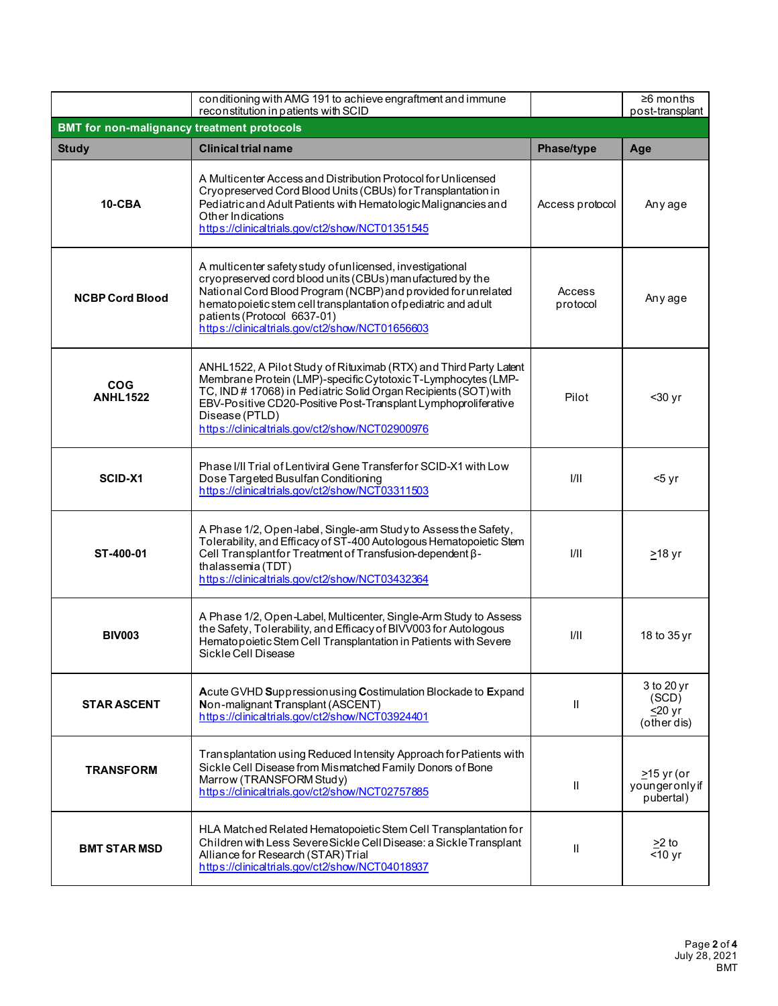|                                                   | conditioning with AMG 191 to achieve engraftment and immune<br>reconstitution in patients with SCID                                                                                                                                                                                                                                          |                    | $\geq 6$ months<br>post-transplant                 |  |  |
|---------------------------------------------------|----------------------------------------------------------------------------------------------------------------------------------------------------------------------------------------------------------------------------------------------------------------------------------------------------------------------------------------------|--------------------|----------------------------------------------------|--|--|
| <b>BMT for non-malignancy treatment protocols</b> |                                                                                                                                                                                                                                                                                                                                              |                    |                                                    |  |  |
| <b>Study</b>                                      | <b>Clinical trial name</b>                                                                                                                                                                                                                                                                                                                   | Phase/type         | Age                                                |  |  |
| 10-CBA                                            | A Multicenter Access and Distribution Protocol for Unlicensed<br>Cryopreserved Cord Blood Units (CBUs) for Transplantation in<br>Pediatric and Adult Patients with Hematologic Malignancies and<br>Other Indications<br>https://clinicaltrials.gov/ct2/show/NCT01351545                                                                      | Access protocol    | Any age                                            |  |  |
| <b>NCBP Cord Blood</b>                            | A multicenter safety study of unlicensed, investigational<br>cryopreserved cord blood units (CBUs) manufactured by the<br>National Cord Blood Program (NCBP) and provided for unrelated<br>hematopoietic stem cell transplantation of pediatric and adult<br>patients (Protocol 6637-01)<br>https://clinicaltrials.gov/ct2/show/NCT01656603  | Access<br>protocol | Any age                                            |  |  |
| <b>COG</b><br><b>ANHL1522</b>                     | ANHL1522, A Pilot Study of Rituximab (RTX) and Third Party Latent<br>Membrane Protein (LMP)-specific Cytotoxic T-Lymphocytes (LMP-<br>TC, IND # 17068) in Pediatric Solid Organ Recipients (SOT) with<br>EBV-Positive CD20-Positive Post-Transplant Lymphoproliferative<br>Disease (PTLD)<br>https://clinicaltrials.gov/ct2/show/NCT02900976 | Pilot              | $30$ yr                                            |  |  |
| SCID-X1                                           | Phase I/II Trial of Lentiviral Gene Transfer for SCID-X1 with Low<br>Dose Targeted Busulfan Conditioning<br>https://clinicaltrials.gov/ct2/show/NCT03311503                                                                                                                                                                                  | 1/11               | $5$ yr                                             |  |  |
| ST-400-01                                         | A Phase 1/2, Open-label, Single-arm Study to Assess the Safety,<br>Tolerability, and Efficacy of ST-400 Autologous Hematopoietic Stem<br>Cell Transplantfor Treatment of Transfusion-dependent β-<br>thalassemia (TDT)<br>https://dinicaltrials.gov/ct2/show/NCT03432364                                                                     | 1/11               | $\geq$ 18 yr                                       |  |  |
| <b>BIV003</b>                                     | A Phase 1/2, Open-Label, Multicenter, Single-Arm Study to Assess<br>the Safety, Tolerability, and Efficacy of BIVV003 for Autologous<br>Hematopoietic Stem Cell Transplantation in Patients with Severe<br>Sickle Cell Disease                                                                                                               | 1/11               | 18 to 35 yr                                        |  |  |
| <b>STAR ASCENT</b>                                | Acute GVHD Suppression using Costimulation Blockade to Expand<br>Non-malignant Transplant (ASCENT)<br>https://clinicaltrials.gov/ct2/show/NCT03924401                                                                                                                                                                                        | $\mathbf{H}$       | 3 to 20 yr<br>(SCD)<br>$\leq$ 20 yr<br>(other dis) |  |  |
| <b>TRANSFORM</b>                                  | Transplantation using Reduced Intensity Approach for Patients with<br>Sickle Cell Disease from Mismatched Family Donors of Bone<br>Marrow (TRANSFORM Study)<br>https://clinicaltrials.gov/ct2/show/NCT02757885                                                                                                                               | $\mathbf{H}$       | $>15$ yr (or<br>youngeronly if<br>pubertal)        |  |  |
| <b>BMT STAR MSD</b>                               | HLA Matched Related Hematopoietic Stem Cell Transplantation for<br>Children with Less Severe Sickle Cell Disease: a Sickle Transplant<br>Alliance for Research (STAR) Trial<br>https://clinicaltrials.gov/ct2/show/NCT04018937                                                                                                               | Ш                  | >2 to<br>$<$ 10 yr                                 |  |  |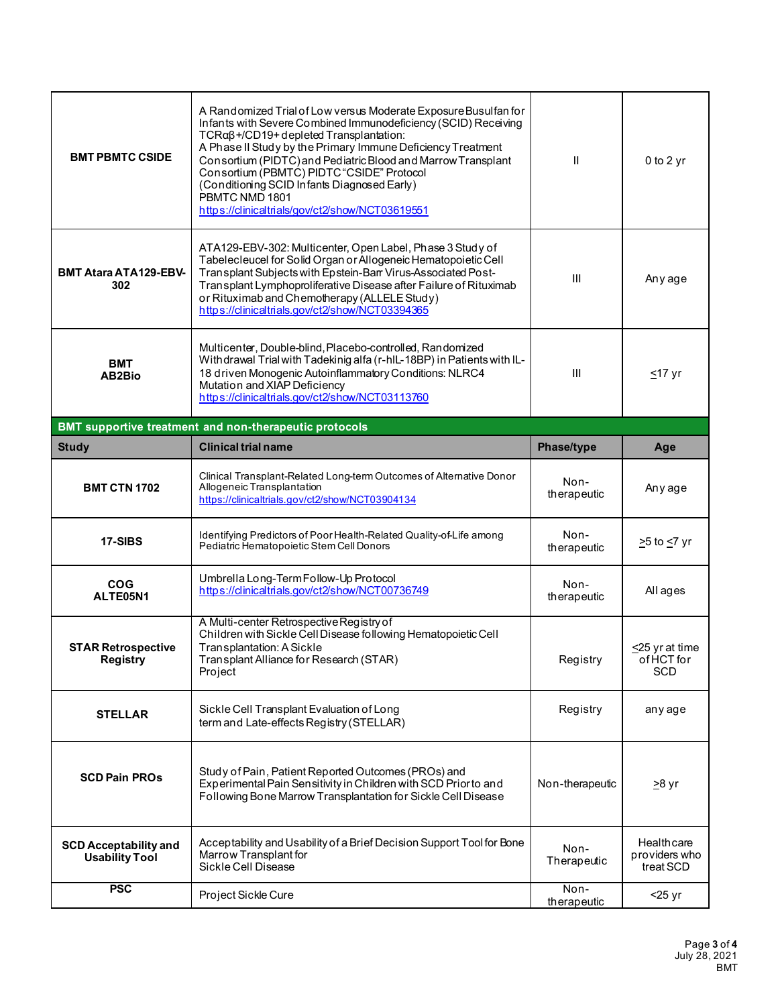| <b>BMT PBMTC CSIDE</b>                                | A Randomized Trial of Low versus Moderate Exposure Busulfan for<br>Infants with Severe Combined Immunodeficiency (SCID) Receiving<br>$TCR\alpha\beta + /CD19 +$ depleted Transplantation:<br>A Phase II Study by the Primary Immune Deficiency Treatment<br>Consortium (PIDTC) and Pediatric Blood and Marrow Transplant<br>Consortium (PBMTC) PIDTC"CSIDE" Protocol<br>(Conditioning SCID Infants Diagnosed Early)<br>PBMTC NMD 1801<br>https://clinicaltrials/gov/ct2/show/NCT03619551 | $\mathbf{H}$        | $0$ to $2$ yr                            |
|-------------------------------------------------------|------------------------------------------------------------------------------------------------------------------------------------------------------------------------------------------------------------------------------------------------------------------------------------------------------------------------------------------------------------------------------------------------------------------------------------------------------------------------------------------|---------------------|------------------------------------------|
| <b>BMT Atara ATA129-EBV-</b><br>302                   | ATA129-EBV-302: Multicenter, Open Label, Phase 3 Study of<br>Tabelecleucel for Solid Organ or Allogeneic Hematopoietic Cell<br>Transplant Subjects with Epstein-Barr Virus-Associated Post-<br>Transplant Lymphoproliferative Disease after Failure of Rituximab<br>or Rituximab and Chemotherapy (ALLELE Study)<br>https://dinicaltrials.gov/ct2/show/NCT03394365                                                                                                                       | III                 | Any age                                  |
| <b>BMT</b><br>AB2Bio                                  | Multicenter, Double-blind, Placebo-controlled, Randomized<br>Withdrawal Trial with Tadekinig alfa (r-hlL-18BP) in Patients with IL-<br>18 driven Monogenic Autoinflammatory Conditions: NLRC4<br>Mutation and XIAP Deficiency<br>https://clinicaltrials.gov/ct2/show/NCT03113760                                                                                                                                                                                                         | III                 | $\leq$ 17 yr                             |
|                                                       | BMT supportive treatment and non-therapeutic protocols                                                                                                                                                                                                                                                                                                                                                                                                                                   |                     |                                          |
| <b>Study</b>                                          | <b>Clinical trial name</b>                                                                                                                                                                                                                                                                                                                                                                                                                                                               | Phase/type          | Age                                      |
| <b>BMT CTN 1702</b>                                   | Clinical Transplant-Related Long-term Outcomes of Alternative Donor<br>Allogeneic Transplantation<br>https://clinicaltrials.gov/ct2/show/NCT03904134                                                                                                                                                                                                                                                                                                                                     | Non-<br>therapeutic | Any age                                  |
| 17-SIBS                                               | Identifying Predictors of Poor Health-Related Quality-of-Life among<br>Pediatric Hematopoietic Stem Cell Donors                                                                                                                                                                                                                                                                                                                                                                          | Non-<br>therapeutic | ≥5 to <u>&lt;</u> 7 yr                   |
| <b>COG</b><br>ALTE05N1                                | Umbrella Long-Term Follow-Up Protocol<br>https://clinicaltrials.gov/ct2/show/NCT00736749                                                                                                                                                                                                                                                                                                                                                                                                 | Non-<br>therapeutic | All ages                                 |
| <b>STAR Retrospective</b><br>Registry                 | A Multi-center Retrospective Registry of<br>Children with Sickle Cell Disease following Hematopoietic Cell<br>Transplantation: A Sickle                                                                                                                                                                                                                                                                                                                                                  |                     | $\leq$ 25 yr at time                     |
|                                                       | Transplant Alliance for Research (STAR)<br>Project                                                                                                                                                                                                                                                                                                                                                                                                                                       | Registry            | of HCT for<br><b>SCD</b>                 |
| <b>STELLAR</b>                                        | Sickle Cell Transplant Evaluation of Long<br>term and Late-effects Registry (STELLAR)                                                                                                                                                                                                                                                                                                                                                                                                    | Registry            | any age                                  |
| <b>SCD Pain PROS</b>                                  | Study of Pain, Patient Reported Outcomes (PROs) and<br>Experimental Pain Sensitivity in Children with SCD Prior to and<br>Following Bone Marrow Transplantation for Sickle Cell Disease                                                                                                                                                                                                                                                                                                  | Non-therapeutic     | <u>&gt;</u> 8 yr                         |
| <b>SCD Acceptability and</b><br><b>Usability Tool</b> | Acceptability and Usability of a Brief Decision Support Tool for Bone<br>Marrow Transplant for<br>Sickle Cell Disease                                                                                                                                                                                                                                                                                                                                                                    | Non-<br>Therapeutic | Healthcare<br>providers who<br>treat SCD |